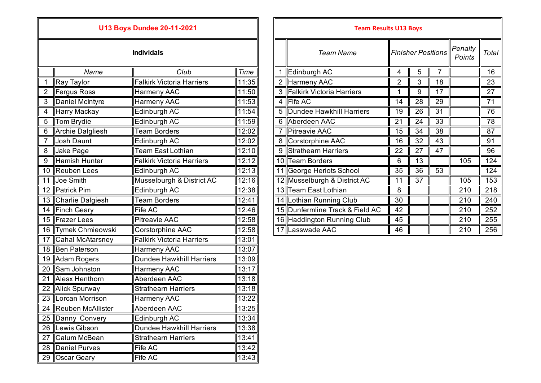## **U13 Boys Dundee 20-11-2021**

|                 | Name                    | Club                             | <b>Time</b> |
|-----------------|-------------------------|----------------------------------|-------------|
| $\mathbf 1$     | Ray Taylor              | <b>Falkirk Victoria Harriers</b> | 11:35       |
| 2               | <b>Fergus Ross</b>      | Harmeny AAC                      | 11:50       |
| 3               | Daniel McIntyre         | Harmeny AAC                      | 11:53       |
| 4               | Harry Mackay            | Edinburgh AC                     | 11:54       |
| 5               | Tom Brydie              | Edinburgh AC                     | 11:59       |
| 6               | <b>Archie Dalgliesh</b> | <b>Team Borders</b>              | 12:02       |
| $\overline{7}$  | <b>Josh Daunt</b>       | Edinburgh AC                     | 12:02       |
| 8               | Jake Page               | <b>Team East Lothian</b>         | 12:10       |
| 9               | <b>Hamish Hunter</b>    | <b>Falkirk Victoria Harriers</b> | 12:12       |
| 10              | <b>Reuben</b> Lees      | Edinburgh AC                     | 12:13       |
| 11              | Joe Smith               | Musselburgh & District AC        | 12:16       |
| 12              | <b>Patrick Pim</b>      | Edinburgh AC                     | 12:38       |
| 13              | Charlie Dalgiesh        | <b>Team Borders</b>              | 12:41       |
| $\overline{14}$ | <b>Finch Geary</b>      | <b>Fife AC</b>                   | 12:46       |
| 15              | <b>Frazer Lees</b>      | <b>Pitreavie AAC</b>             | 12:58       |
| 16              | Tymek Chmieowski        | Corstorphine AAC                 | 12:58       |
| 17              | <b>Cahal McAtarsney</b> | <b>Falkirk Victoria Harriers</b> | 13:01       |
| 18              | <b>Ben Paterson</b>     | Harmeny AAC                      | 13:07       |
| 19              | Adam Rogers             | Dundee Hawkhill Harriers         | 13:09       |
| 20              | Sam Johnston            | Harmeny AAC                      | 13:17       |
| 21              | Alesx Henthorn          | Aberdeen AAC                     | 13:18       |
| 22              | <b>Alick Spurway</b>    | <b>Strathearn Harriers</b>       | 13:18       |
| 23              | Lorcan Morrison         | Harmeny AAC                      | 13:22       |
| 24              | Reuben McAllister       | Aberdeen AAC                     | 13:25       |
| 25              | Danny Convery           | Edinburgh AC                     | 13:34       |
| 26              | Lewis Gibson            | <b>Dundee Hawkhill Harriers</b>  | 13:38       |
| 27              | Calum McBean            | <b>Strathearn Harriers</b>       | 13:41       |
| 28              | <b>Daniel Purves</b>    | Fife AC                          | 13:42       |
| 29              | <b>Oscar Geary</b>      | Fife AC                          | 13:43       |

|                  |                     | <b>U13 Boys Dundee 20-11-2021</b> |       | <b>Team Results U13 Boys</b> |                |                                 |                |                           |    |                   |       |
|------------------|---------------------|-----------------------------------|-------|------------------------------|----------------|---------------------------------|----------------|---------------------------|----|-------------------|-------|
|                  |                     | <b>Individals</b>                 |       |                              |                | <b>Team Name</b>                |                | <b>Finisher Positions</b> |    | Penalty<br>Points | Total |
|                  | Name                | Club                              | Time  |                              |                | Edinburgh AC                    | 4              | 5                         |    |                   | 16    |
|                  | Ray Taylor          | <b>Falkirk Victoria Harriers</b>  | 11:35 |                              | $\overline{2}$ | Harmeny AAC                     | $\overline{2}$ | 3                         | 18 |                   | 23    |
|                  | Fergus Ross         | Harmeny AAC                       | 11:50 |                              |                | 3 Falkirk Victoria Harriers     |                | 9                         | 17 |                   | 27    |
| 3                | Daniel McIntyre     | <b>Harmeny AAC</b>                | 11:53 |                              |                | 4 Fife AC                       | 14             | 28                        | 29 |                   | 71    |
| $\overline{4}$   | Harry Mackay        | Edinburgh AC                      | 11:54 |                              |                | 5 Dundee Hawkhill Harriers      | 19             | 26                        | 31 |                   | 76    |
| 5                | <b>Tom Brydie</b>   | Edinburgh AC                      | 11:59 |                              |                | 6 Aberdeen AAC                  | 21             | 24                        | 33 |                   | 78    |
| 6                | Archie Dalgliesh    | <b>Team Borders</b>               | 12:02 |                              |                | <b>Pitreavie AAC</b>            | 15             | 34                        | 38 |                   | 87    |
|                  | <b>Josh Daunt</b>   | Edinburgh AC                      | 12:02 |                              |                | 8 Corstorphine AAC              | 16             | 32                        | 43 |                   | 91    |
| $\overline{8}$   | Jake Page           | <b>Team East Lothian</b>          | 12:10 |                              | 9              | Strathearn Harriers             | 22             | 27                        | 47 |                   | 96    |
| $\boldsymbol{9}$ | Hamish Hunter       | <b>Falkirk Victoria Harriers</b>  | 12:12 |                              |                | 10 Team Borders                 | 6              | 13                        |    | 105               | 124   |
|                  | 10 Reuben Lees      | Edinburgh AC                      | 12:13 |                              |                | George Heriots School           | 35             | 36                        | 53 |                   | 124   |
| 11               | Joe Smith           | Musselburgh & District AC         | 12:16 |                              |                | 12 Musselburgh & District AC    | 11             | 37                        |    | 105               | 153   |
|                  | 12 Patrick Pim      | Edinburgh AC                      | 12:38 |                              |                | 13 Team East Lothian            | 8              |                           |    | 210               | 218   |
|                  | 13 Charlie Dalgiesh | <b>Team Borders</b>               | 12:41 |                              |                | 14 Lothian Running Club         | 30             |                           |    | 210               | 240   |
|                  | 14 Finch Geary      | Fife AC                           | 12:46 |                              |                | 15 Dunfermline Track & Field AC | 42             |                           |    | 210               | 252   |
|                  | 15 Frazer Lees      | <b>Pitreavie AAC</b>              | 12:58 |                              |                | 16 Haddington Running Club      | 45             |                           |    | 210               | 255   |
|                  | 16 Tymek Chmieowski | Corstorphine AAC                  | 12:58 |                              |                | 17 Lasswade AAC                 | 46             |                           |    | 210               | 256   |